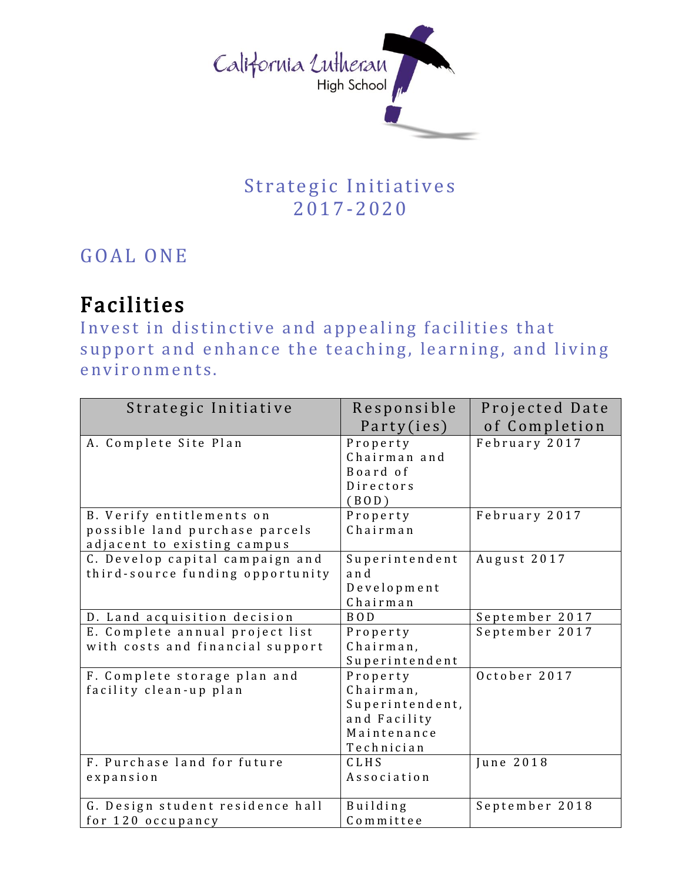

## Strategic Initiatives 2017-2 0 20

## GOAL ONE

## Facilities

Invest in distinctive and appealing facilities that support and enhance the teaching, learning, and living environments.

| Strategic Initiative                                  | Responsible           | Projected Date |
|-------------------------------------------------------|-----------------------|----------------|
|                                                       | Party(ies)            | of Completion  |
| A. Complete Site Plan                                 | Property              | February 2017  |
|                                                       | Chairman and          |                |
|                                                       | Board of              |                |
|                                                       | Directors             |                |
|                                                       | (BOD)                 |                |
| B. Verify entitlements on                             | Property              | February 2017  |
| possible land purchase parcels                        | Chairman              |                |
| adjacent to existing campus                           |                       |                |
| C. Develop capital campaign and                       | Superintendent        | August 2017    |
| third-source funding opportunity                      | and                   |                |
|                                                       | Development           |                |
|                                                       | Chairman              |                |
| D. Land acquisition decision                          | BOD                   | September 2017 |
| E. Complete annual project list                       | Property              | September 2017 |
| with costs and financial support                      | Chairman,             |                |
|                                                       | Superintendent        |                |
| F. Complete storage plan and                          | Property              | October 2017   |
| facility clean-up plan                                | Chairman,             |                |
|                                                       | Superintendent,       |                |
|                                                       | and Facility          |                |
|                                                       | Maintenance           |                |
|                                                       | Technician            |                |
| F. Purchase land for future                           | CLHS                  | June 2018      |
| expansion                                             | Association           |                |
|                                                       |                       |                |
| G. Design student residence hall<br>for 120 occupancy | Building<br>Committee | September 2018 |
|                                                       |                       |                |